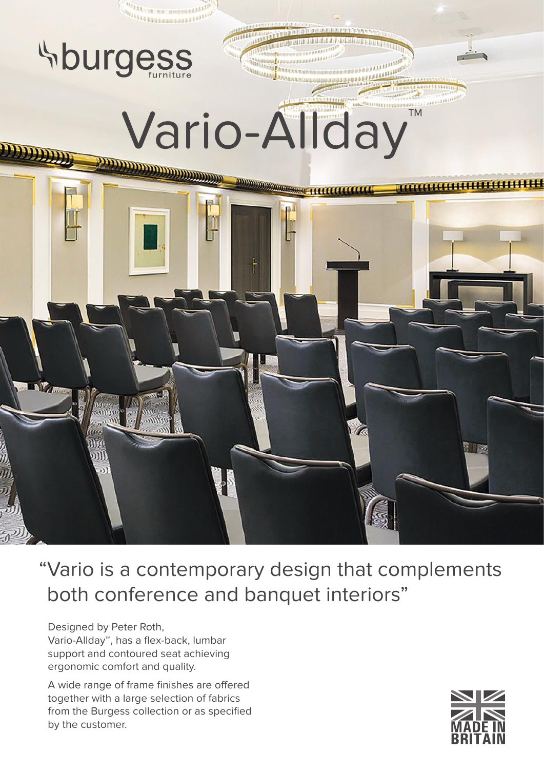

"Vario is a contemporary design that complements both conference and banquet interiors"

Designed by Peter Roth, Vario-Allday™, has a flex-back, lumbar support and contoured seat achieving ergonomic comfort and quality.

A wide range of frame finishes are offered together with a large selection of fabrics from the Burgess collection or as specified by the customer.